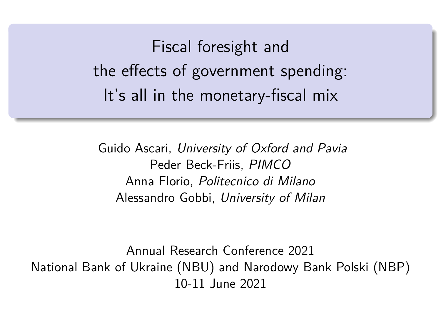<span id="page-0-0"></span>Fiscal foresight and the effects of government spending: It's all in the monetary-fiscal mix

Guido Ascari, University of Oxford and Pavia Peder Beck-Friis, PIMCO Anna Florio, Politecnico di Milano Alessandro Gobbi, University of Milan

Annual Research Conference 2021 National Bank of Ukraine (NBU) and Narodowy Bank Polski (NBP) 10-11 June 2021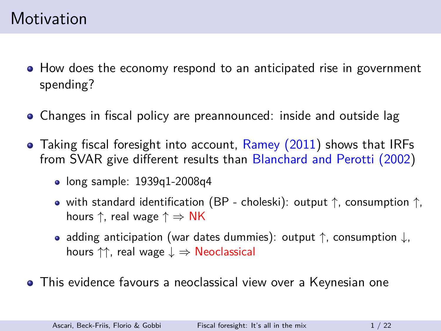- How does the economy respond to an anticipated rise in government spending?
- Changes in fiscal policy are preannounced: inside and outside lag
- Taking fiscal foresight into account, [Ramey \(2011\)](#page-18-0) shows that IRFs from SVAR give different results than [Blanchard and Perotti \(2002\)](#page-17-0)
	- $\bullet$  long sample: 1939q1-2008q4
	- with standard identification (BP choleski): output  $\uparrow$ , consumption  $\uparrow$ , hours  $\uparrow$ , real wage  $\uparrow \Rightarrow NK$
	- adding anticipation (war dates dummies): output  $\uparrow$ , consumption  $\downarrow$ , hours  $\uparrow\uparrow$ , real wage  $\downarrow \Rightarrow$  Neoclassical
- This evidence favours a neoclassical view over a Keynesian one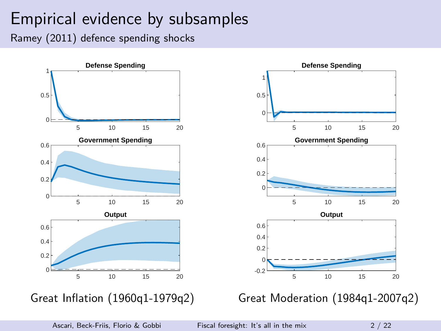# Empirical evidence by subsamples

Ramey (2011) defence spending shocks

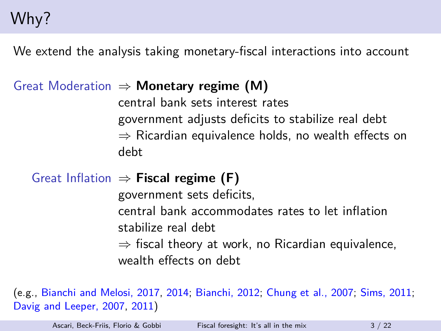# Why?

We extend the analysis taking monetary-fiscal interactions into account

### Great Moderation ⇒ **Monetary regime (M)**

central bank sets interest rates government adjusts deficits to stabilize real debt  $\Rightarrow$  Ricardian equivalence holds, no wealth effects on debt

### Great Inflation ⇒ **Fiscal regime (F)**

government sets deficits,

central bank accommodates rates to let inflation stabilize real debt

 $\Rightarrow$  fiscal theory at work, no Ricardian equivalence, wealth effects on debt

(e.g., [Bianchi and Melosi, 2017,](#page-17-1) [2014;](#page-17-2) [Bianchi, 2012;](#page-17-3) [Chung et al., 2007;](#page-17-4) [Sims, 2011;](#page-18-1) [Davig and Leeper, 2007,](#page-18-2) [2011\)](#page-18-3)

Ascari, Beck-Friis, Florio & Gobbi [Fiscal foresight: It's all in the mix](#page-0-0)  $3 / 22$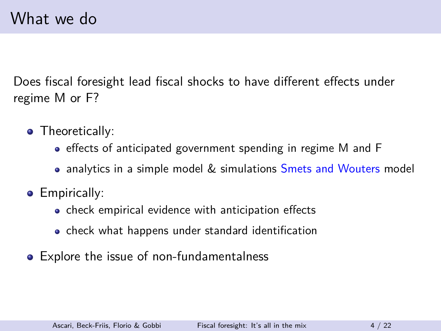Does fiscal foresight lead fiscal shocks to have different effects under regime M or F?

- Theoretically:
	- effects of anticipated government spending in regime M and F
	- analytics in a simple model & simulations [Smets and Wouters](#page-18-4) model
- **•** Empirically:
	- check empirical evidence with anticipation effects
	- check what happens under standard identification
- Explore the issue of non-fundamentalness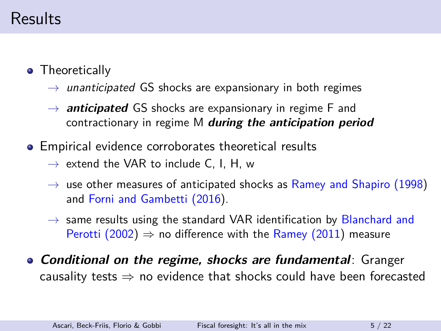### Results

- **•** Theoretically
	- $\rightarrow$  unanticipated GS shocks are expansionary in both regimes
	- $\rightarrow$  **anticipated** GS shocks are expansionary in regime F and contractionary in regime M **during the anticipation period**
- Empirical evidence corroborates theoretical results
	- $\rightarrow$  extend the VAR to include C, I, H, w
	- $\rightarrow$  use other measures of anticipated shocks as [Ramey and Shapiro \(1998\)](#page-18-5) and [Forni and Gambetti \(2016\)](#page-18-6).
	- $\rightarrow$  same results using the standard VAR identification by [Blanchard and](#page-17-0) [Perotti \(2002\)](#page-17-0)  $\Rightarrow$  no difference with the [Ramey \(2011\)](#page-18-0) measure
- **Conditional on the regime, shocks are fundamental**: Granger causality tests  $\Rightarrow$  no evidence that shocks could have been forecasted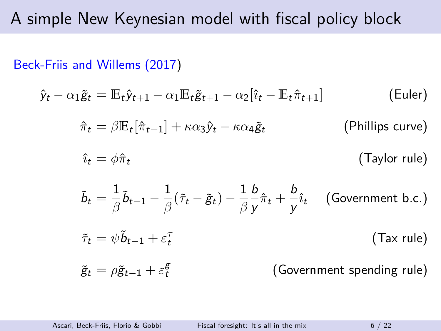### A simple New Keynesian model with fiscal policy block

[Beck-Friis and Willems \(2017\)](#page-17-5)

$$
\hat{y}_t - \alpha_1 \tilde{g}_t = \mathbb{E}_t \hat{y}_{t+1} - \alpha_1 \mathbb{E}_t \tilde{g}_{t+1} - \alpha_2 [\hat{i}_t - \mathbb{E}_t \hat{\pi}_{t+1}]
$$
 (Euler)  
\n
$$
\hat{\pi}_t = \beta \mathbb{E}_t [\hat{\pi}_{t+1}] + \kappa \alpha_3 \hat{y}_t - \kappa \alpha_4 \tilde{g}_t
$$
 (Philips curve)  
\n
$$
\hat{i}_t = \phi \hat{\pi}_t
$$
 (Taylor rule)  
\n
$$
\tilde{b}_t = \frac{1}{\beta} \tilde{b}_{t-1} - \frac{1}{\beta} (\tilde{\tau}_t - \tilde{g}_t) - \frac{1}{\beta} \frac{b}{y} \hat{\pi}_t + \frac{b}{y} \hat{i}_t
$$
 (Government b.c.)  
\n
$$
\tilde{\tau}_t = \psi \tilde{b}_{t-1} + \varepsilon_t^{\tau}
$$
 (Tax rule)  
\n
$$
\tilde{g}_t = \rho \tilde{g}_{t-1} + \varepsilon_t^{\xi}
$$
 (Government spending rule)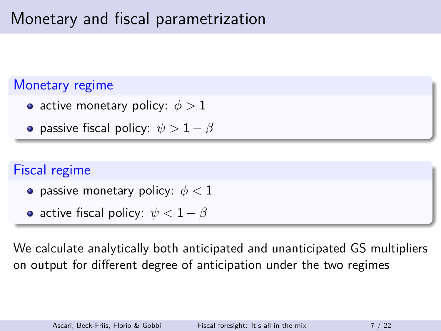# Monetary and fiscal parametrization

### Monetary regime

- active monetary policy: *φ >* 1
- **•** passive fiscal policy:  $\psi > 1 \beta$

### Fiscal regime

- passive monetary policy: *φ <* 1
- active fiscal policy: *ψ <* 1 − *β*

We calculate analytically both anticipated and unanticipated GS multipliers on output for different degree of anticipation under the two regimes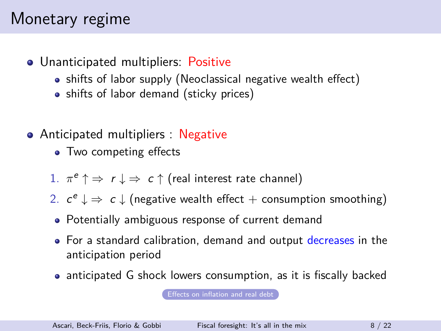### Monetary regime

- <span id="page-8-0"></span>Unanticipated multipliers: Positive
	- shifts of labor supply (Neoclassical negative wealth effect)
	- shifts of labor demand (sticky prices)
- Anticipated multipliers : Negative
	- Two competing effects
	- 1.  $\pi^e \uparrow \Rightarrow r \downarrow \Rightarrow c \uparrow$  (real interest rate channel)
	- 2.  $c^e \downarrow \Rightarrow c \downarrow$  (negative wealth effect + consumption smoothing)
	- Potentially ambiguous response of current demand
	- For a standard calibration, demand and output decreases in the anticipation period
	- anticipated G shock lowers consumption, as it is fiscally backed

[Effects on inflation and real debt](#page-19-0)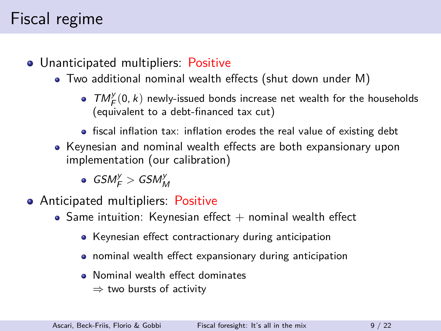## Fiscal regime

- Unanticipated multipliers: Positive
	- Two additional nominal wealth effects (shut down under M)
		- $TM_F^y(0, k)$  newly-issued bonds increase net wealth for the households (equivalent to a debt-financed tax cut)
		- fiscal inflation tax: inflation erodes the real value of existing debt
	- Keynesian and nominal wealth effects are both expansionary upon implementation (our calibration)

 $\textit{GSM}^y_\textit{F} > \textit{GSM}^y_\textit{M}$ 

- Anticipated multipliers: Positive
	- Same intuition: Keynesian effect  $+$  nominal wealth effect
		- Keynesian effect contractionary during anticipation
		- nominal wealth effect expansionary during anticipation
		- Nominal wealth effect dominates  $\Rightarrow$  two bursts of activity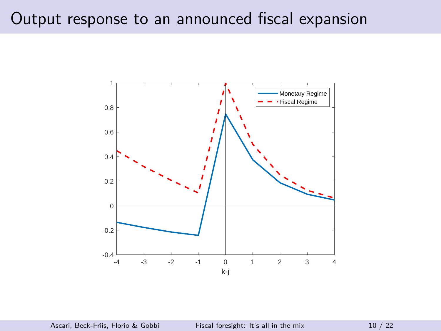### Output response to an announced fiscal expansion

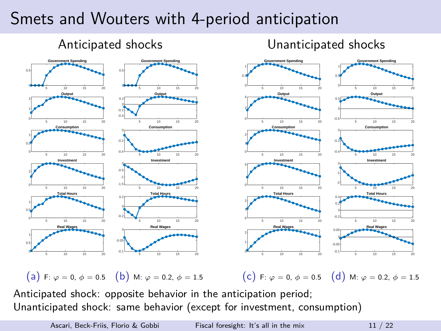### Smets and Wouters with 4-period anticipation



Anticipated shock: opposite behavior in the anticipation period; Unanticipated shock: same behavior (except for investment, consumption)

Ascari, Beck-Friis, Florio & Gobbi [Fiscal foresight: It's all in the mix](#page-0-0) 11 / 22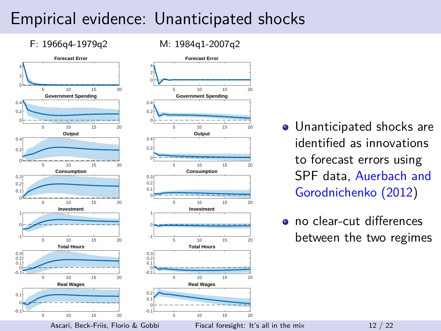### Empirical evidence: Unanticipated shocks

M: 1984q1-2007q2

### F: 1966q4-1979q2



- Unanticipated shocks are identified as innovations to forecast errors using SPF data, [Auerbach and](#page-17-6) [Gorodnichenko \(2012\)](#page-17-6)
- o no clear-cut differences between the two regimes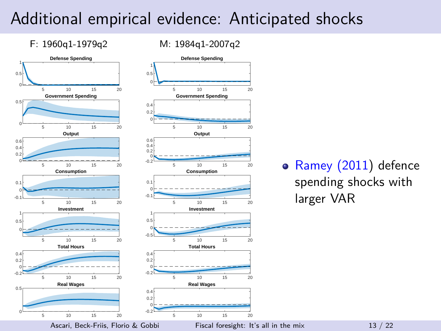### Additional empirical evidence: Anticipated shocks

M: 1984q1-2007q2

F: 1960q1-1979q2



### [Ramey \(2011\)](#page-18-0) defence spending shocks with larger VAR

Ascari, Beck-Friis, Florio & Gobbi [Fiscal foresight: It's all in the mix](#page-0-0) 13 / 22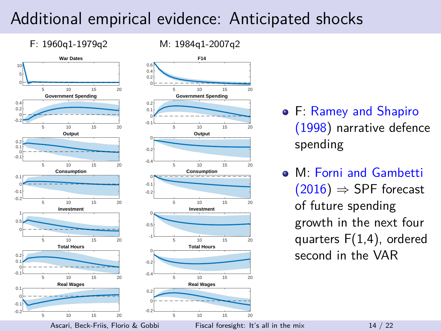### Additional empirical evidence: Anticipated shocks

M: 1984q1-2007q2

### F: 1960q1-1979q2



- F: [Ramey and Shapiro](#page-18-5) [\(1998\)](#page-18-5) narrative defence spending
- M: [Forni and Gambetti](#page-18-6)  $(2016) \Rightarrow$  $(2016) \Rightarrow$  SPF forecast of future spending growth in the next four quarters F(1,4), ordered second in the VAR

Ascari, Beck-Friis, Florio & Gobbi [Fiscal foresight: It's all in the mix](#page-0-0) 14 / 22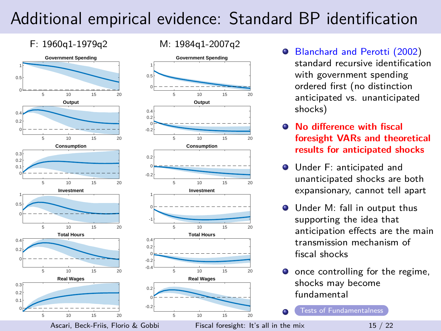# Additional empirical evidence: Standard BP identification

<span id="page-15-0"></span>

- [Blanchard and Perotti \(2002\)](#page-17-0) standard recursive identification with government spending ordered first (no distinction anticipated vs. unanticipated shocks)
- **No difference with fiscal foresight VARs and theoretical results for anticipated shocks**
- **O** Under F: anticipated and unanticipated shocks are both expansionary, cannot tell apart
- Under M: fall in output thus supporting the idea that anticipation effects are the main transmission mechanism of fiscal shocks
- $\bullet$  once controlling for the regime, shocks may become fundamental

[Tests of Fundamentalness](#page-20-0)

Ascari, Beck-Friis, Florio & Gobbi [Fiscal foresight: It's all in the mix](#page-0-0) 15 / 22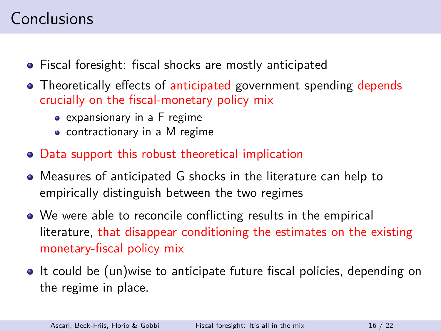# **Conclusions**

- Fiscal foresight: fiscal shocks are mostly anticipated
- Theoretically effects of anticipated government spending depends crucially on the fiscal-monetary policy mix
	- expansionary in a F regime
	- contractionary in a M regime
- Data support this robust theoretical implication
- Measures of anticipated G shocks in the literature can help to empirically distinguish between the two regimes
- We were able to reconcile conflicting results in the empirical literature, that disappear conditioning the estimates on the existing monetary-fiscal policy mix
- It could be (un)wise to anticipate future fiscal policies, depending on the regime in place.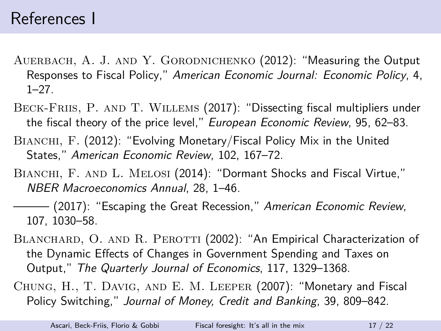- <span id="page-17-6"></span>AUERBACH, A. J. AND Y. GORODNICHENKO (2012): "Measuring the Output Responses to Fiscal Policy," American Economic Journal: Economic Policy, 4,  $1 - 27$
- <span id="page-17-5"></span>BECK-FRIIS, P. AND T. WILLEMS (2017): "Dissecting fiscal multipliers under the fiscal theory of the price level," European Economic Review, 95, 62–83.
- <span id="page-17-3"></span>BIANCHI, F. (2012): "Evolving Monetary/Fiscal Policy Mix in the United States," American Economic Review, 102, 167–72.
- <span id="page-17-2"></span>BIANCHI, F. AND L. MELOSI (2014): "Dormant Shocks and Fiscal Virtue," NBER Macroeconomics Annual, 28, 1–46.
- <span id="page-17-1"></span>———— (2017): "Escaping the Great Recession," *American Economic Review*, 107, 1030–58.
- <span id="page-17-0"></span>BLANCHARD, O. AND R. PEROTTI (2002): "An Empirical Characterization of the Dynamic Effects of Changes in Government Spending and Taxes on Output," The Quarterly Journal of Economics, 117, 1329–1368.
- <span id="page-17-4"></span>Chung, H., T. Davig, and E. M. Leeper (2007): "Monetary and Fiscal Policy Switching," Journal of Money, Credit and Banking, 39, 809–842.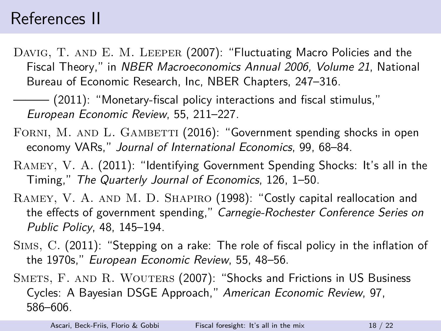### References II

<span id="page-18-2"></span>DAVIG, T. AND E. M. LEEPER (2007): "Fluctuating Macro Policies and the Fiscal Theory," in NBER Macroeconomics Annual 2006, Volume 21, National Bureau of Economic Research, Inc, NBER Chapters, 247–316.

<span id="page-18-3"></span>——— (2011): "Monetary-fiscal policy interactions and fiscal stimulus," European Economic Review, 55, 211–227.

- <span id="page-18-6"></span>FORNI, M. AND L. GAMBETTI (2016): "Government spending shocks in open economy VARs," Journal of International Economics, 99, 68–84.
- <span id="page-18-0"></span>Ramey, V. A. (2011): "Identifying Government Spending Shocks: It's all in the Timing," The Quarterly Journal of Economics, 126, 1–50.
- <span id="page-18-5"></span>RAMEY, V. A. AND M. D. SHAPIRO (1998): "Costly capital reallocation and the effects of government spending," Carnegie-Rochester Conference Series on Public Policy, 48, 145–194.
- <span id="page-18-1"></span>Sims, C. (2011): "Stepping on a rake: The role of fiscal policy in the inflation of the 1970s," European Economic Review, 55, 48–56.
- <span id="page-18-4"></span>SMETS, F. AND R. WOUTERS (2007): "Shocks and Frictions in US Business Cycles: A Bayesian DSGE Approach," American Economic Review, 97, 586–606.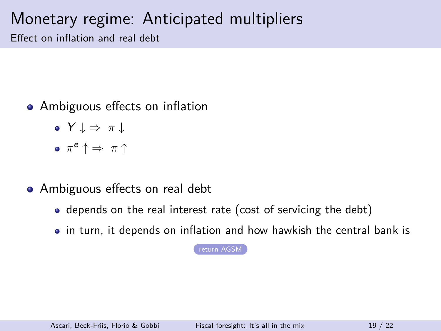### Monetary regime: Anticipated multipliers

Effect on inflation and real debt

- <span id="page-19-0"></span>• Ambiguous effects on inflation
	- Y ↓ ⇒ *π* ↓
	- *π* <sup>e</sup> ↑ ⇒ *π* ↑
- Ambiguous effects on real debt
	- depends on the real interest rate (cost of servicing the debt)
	- in turn, it depends on inflation and how hawkish the central bank is

[return AGSM](#page-8-0)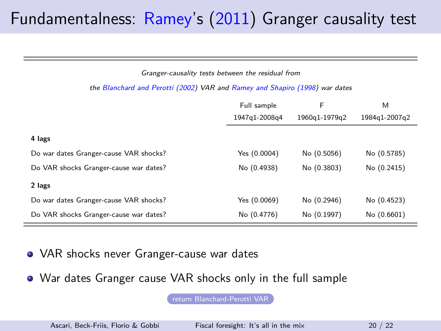## <span id="page-20-0"></span>Fundamentalness: [Ramey'](#page-18-0)s [\(2011\)](#page-18-0) Granger causality test

#### Granger-causality tests between the residual from

#### the [Blanchard and Perotti \(2002\)](#page-17-0) VAR and [Ramey and Shapiro \(1998\)](#page-18-5) war dates

|                                        | Full sample<br>1947q1-2008q4 | F<br>1960q1-1979q2 | M<br>1984q1-2007q2 |
|----------------------------------------|------------------------------|--------------------|--------------------|
| 4 lags                                 |                              |                    |                    |
| Do war dates Granger-cause VAR shocks? | Yes (0.0004)                 | No (0.5056)        | No (0.5785)        |
| Do VAR shocks Granger-cause war dates? | No (0.4938)                  | No (0.3803)        | No (0.2415)        |
| 2 lags                                 |                              |                    |                    |
| Do war dates Granger-cause VAR shocks? | Yes (0.0069)                 | No (0.2946)        | No (0.4523)        |
| Do VAR shocks Granger-cause war dates? | No (0.4776)                  | No (0.1997)        | No (0.6601)        |

- VAR shocks never Granger-cause war dates
- War dates Granger cause VAR shocks only in the full sample

[return Blanchard-Perotti VAR](#page-15-0)

Ascari, Beck-Friis, Florio & Gobbi [Fiscal foresight: It's all in the mix](#page-0-0) 20 / 22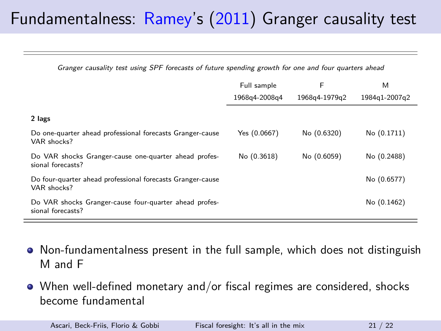# Fundamentalness: [Ramey'](#page-18-0)s [\(2011\)](#page-18-0) Granger causality test

Granger causality test using SPF forecasts of future spending growth for one and four quarters ahead

|                                                                             | Full sample<br>1968a4-2008a4 | F<br>1968a4-1979a2 | M<br>1984a1-2007a2 |
|-----------------------------------------------------------------------------|------------------------------|--------------------|--------------------|
|                                                                             |                              |                    |                    |
| 2 lags                                                                      |                              |                    |                    |
| Do one-quarter ahead professional forecasts Granger-cause<br>VAR shocks?    | Yes (0.0667)                 | No (0.6320)        | No (0.1711)        |
| Do VAR shocks Granger-cause one-quarter ahead profes-<br>sional forecasts?  | No (0.3618)                  | No (0.6059)        | No (0.2488)        |
| Do four-quarter ahead professional forecasts Granger-cause<br>VAR shocks?   |                              |                    | No (0.6577)        |
| Do VAR shocks Granger-cause four-quarter ahead profes-<br>sional forecasts? |                              |                    | No (0.1462)        |

- Non-fundamentalness present in the full sample, which does not distinguish M and F
- When well-defined monetary and/or fiscal regimes are considered, shocks become fundamental